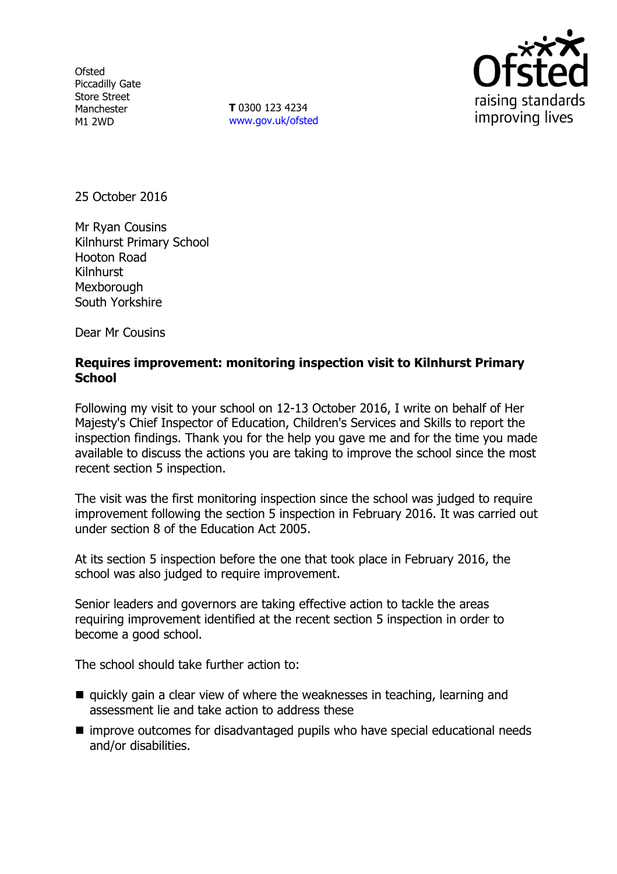**Ofsted** Piccadilly Gate Store Street Manchester M1 2WD

**T** 0300 123 4234 www.gov.uk/ofsted



25 October 2016

Mr Ryan Cousins Kilnhurst Primary School Hooton Road Kilnhurst **Mexborough** South Yorkshire

Dear Mr Cousins

#### **Requires improvement: monitoring inspection visit to Kilnhurst Primary School**

Following my visit to your school on 12-13 October 2016, I write on behalf of Her Majesty's Chief Inspector of Education, Children's Services and Skills to report the inspection findings. Thank you for the help you gave me and for the time you made available to discuss the actions you are taking to improve the school since the most recent section 5 inspection.

The visit was the first monitoring inspection since the school was judged to require improvement following the section 5 inspection in February 2016. It was carried out under section 8 of the Education Act 2005.

At its section 5 inspection before the one that took place in February 2016, the school was also judged to require improvement.

Senior leaders and governors are taking effective action to tackle the areas requiring improvement identified at the recent section 5 inspection in order to become a good school.

The school should take further action to:

- quickly gain a clear view of where the weaknesses in teaching, learning and assessment lie and take action to address these
- improve outcomes for disadvantaged pupils who have special educational needs and/or disabilities.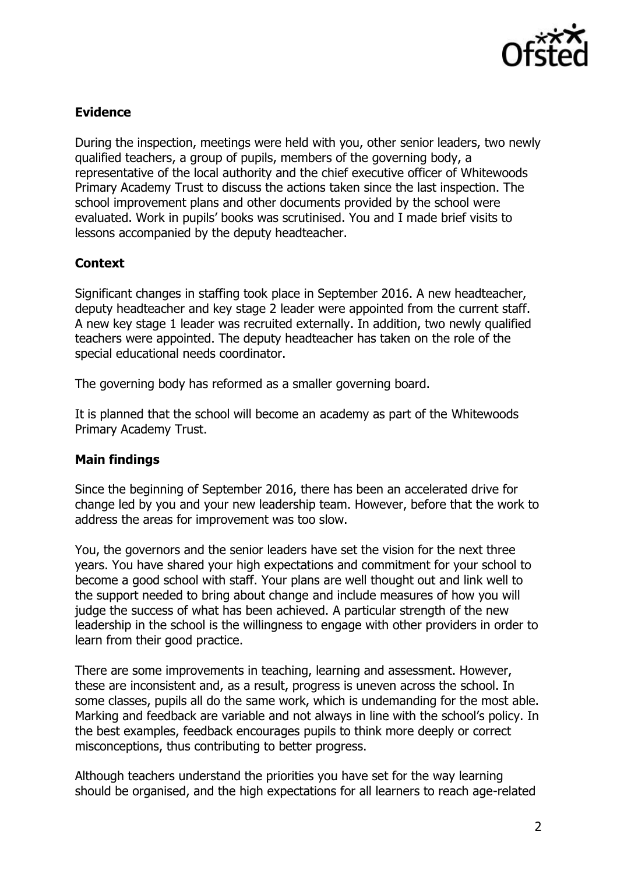

# **Evidence**

During the inspection, meetings were held with you, other senior leaders, two newly qualified teachers, a group of pupils, members of the governing body, a representative of the local authority and the chief executive officer of Whitewoods Primary Academy Trust to discuss the actions taken since the last inspection. The school improvement plans and other documents provided by the school were evaluated. Work in pupils' books was scrutinised. You and I made brief visits to lessons accompanied by the deputy headteacher.

# **Context**

Significant changes in staffing took place in September 2016. A new headteacher, deputy headteacher and key stage 2 leader were appointed from the current staff. A new key stage 1 leader was recruited externally. In addition, two newly qualified teachers were appointed. The deputy headteacher has taken on the role of the special educational needs coordinator.

The governing body has reformed as a smaller governing board.

It is planned that the school will become an academy as part of the Whitewoods Primary Academy Trust.

#### **Main findings**

Since the beginning of September 2016, there has been an accelerated drive for change led by you and your new leadership team. However, before that the work to address the areas for improvement was too slow.

You, the governors and the senior leaders have set the vision for the next three years. You have shared your high expectations and commitment for your school to become a good school with staff. Your plans are well thought out and link well to the support needed to bring about change and include measures of how you will judge the success of what has been achieved. A particular strength of the new leadership in the school is the willingness to engage with other providers in order to learn from their good practice.

There are some improvements in teaching, learning and assessment. However, these are inconsistent and, as a result, progress is uneven across the school. In some classes, pupils all do the same work, which is undemanding for the most able. Marking and feedback are variable and not always in line with the school's policy. In the best examples, feedback encourages pupils to think more deeply or correct misconceptions, thus contributing to better progress.

Although teachers understand the priorities you have set for the way learning should be organised, and the high expectations for all learners to reach age-related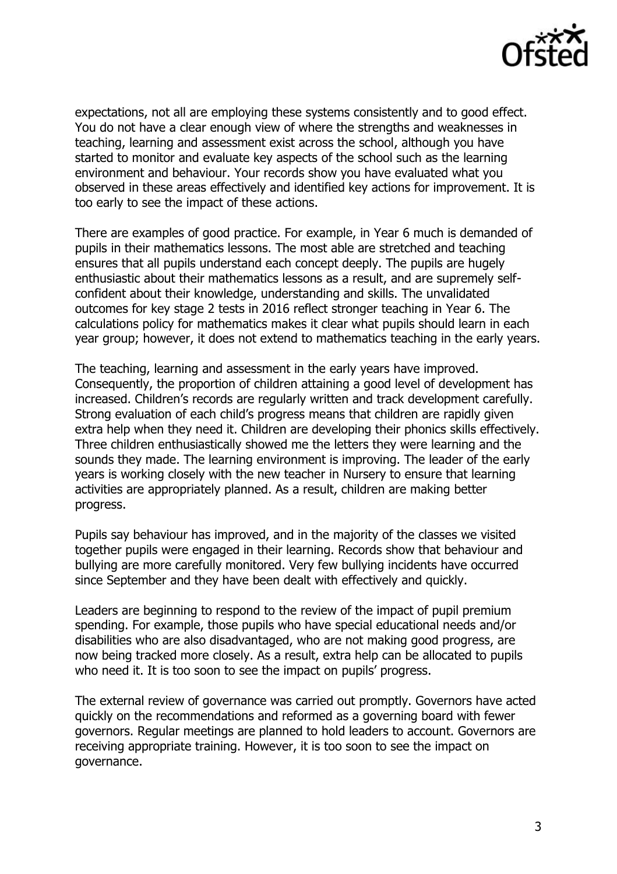

expectations, not all are employing these systems consistently and to good effect. You do not have a clear enough view of where the strengths and weaknesses in teaching, learning and assessment exist across the school, although you have started to monitor and evaluate key aspects of the school such as the learning environment and behaviour. Your records show you have evaluated what you observed in these areas effectively and identified key actions for improvement. It is too early to see the impact of these actions.

There are examples of good practice. For example, in Year 6 much is demanded of pupils in their mathematics lessons. The most able are stretched and teaching ensures that all pupils understand each concept deeply. The pupils are hugely enthusiastic about their mathematics lessons as a result, and are supremely selfconfident about their knowledge, understanding and skills. The unvalidated outcomes for key stage 2 tests in 2016 reflect stronger teaching in Year 6. The calculations policy for mathematics makes it clear what pupils should learn in each year group; however, it does not extend to mathematics teaching in the early years.

The teaching, learning and assessment in the early years have improved. Consequently, the proportion of children attaining a good level of development has increased. Children's records are regularly written and track development carefully. Strong evaluation of each child's progress means that children are rapidly given extra help when they need it. Children are developing their phonics skills effectively. Three children enthusiastically showed me the letters they were learning and the sounds they made. The learning environment is improving. The leader of the early years is working closely with the new teacher in Nursery to ensure that learning activities are appropriately planned. As a result, children are making better progress.

Pupils say behaviour has improved, and in the majority of the classes we visited together pupils were engaged in their learning. Records show that behaviour and bullying are more carefully monitored. Very few bullying incidents have occurred since September and they have been dealt with effectively and quickly.

Leaders are beginning to respond to the review of the impact of pupil premium spending. For example, those pupils who have special educational needs and/or disabilities who are also disadvantaged, who are not making good progress, are now being tracked more closely. As a result, extra help can be allocated to pupils who need it. It is too soon to see the impact on pupils' progress.

The external review of governance was carried out promptly. Governors have acted quickly on the recommendations and reformed as a governing board with fewer governors. Regular meetings are planned to hold leaders to account. Governors are receiving appropriate training. However, it is too soon to see the impact on governance.